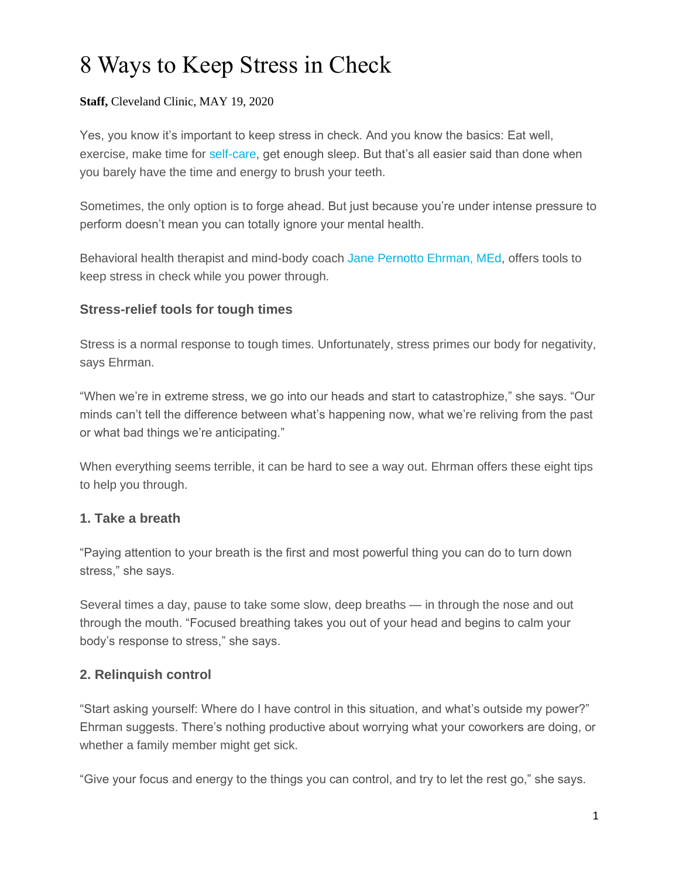# 8 Ways to Keep Stress in Check

#### **Staff,** Cleveland Clinic, MAY 19, 2020

Yes, you know it's important to keep stress in check. And you know the basics: Eat well, exercise, make time for [self-care,](https://health.clevelandclinic.org/try-these-small-powerful-ways-to-celebrate-you/) get enough sleep. But that's all easier said than done when you barely have the time and energy to brush your teeth.

Sometimes, the only option is to forge ahead. But just because you're under intense pressure to perform doesn't mean you can totally ignore your mental health.

Behavioral health therapist and mind-body coach [Jane Pernotto Ehrman, MEd,](https://my.clevelandclinic.org/departments/wellness/integrative/staff/lifestyle) offers tools to keep stress in check while you power through.

### **Stress-relief tools for tough times**

Stress is a normal response to tough times. Unfortunately, stress primes our body for negativity, says Ehrman.

"When we're in extreme stress, we go into our heads and start to catastrophize," she says. "Our minds can't tell the difference between what's happening now, what we're reliving from the past or what bad things we're anticipating."

When everything seems terrible, it can be hard to see a way out. Ehrman offers these eight tips to help you through.

# **1. Take a breath**

"Paying attention to your breath is the first and most powerful thing you can do to turn down stress," she says.

Several times a day, pause to take some slow, deep breaths — in through the nose and out through the mouth. "Focused breathing takes you out of your head and begins to calm your body's response to stress," she says.

# **2. Relinquish control**

"Start asking yourself: Where do I have control in this situation, and what's outside my power?" Ehrman suggests. There's nothing productive about worrying what your coworkers are doing, or whether a family member might get sick.

"Give your focus and energy to the things you can control, and try to let the rest go," she says.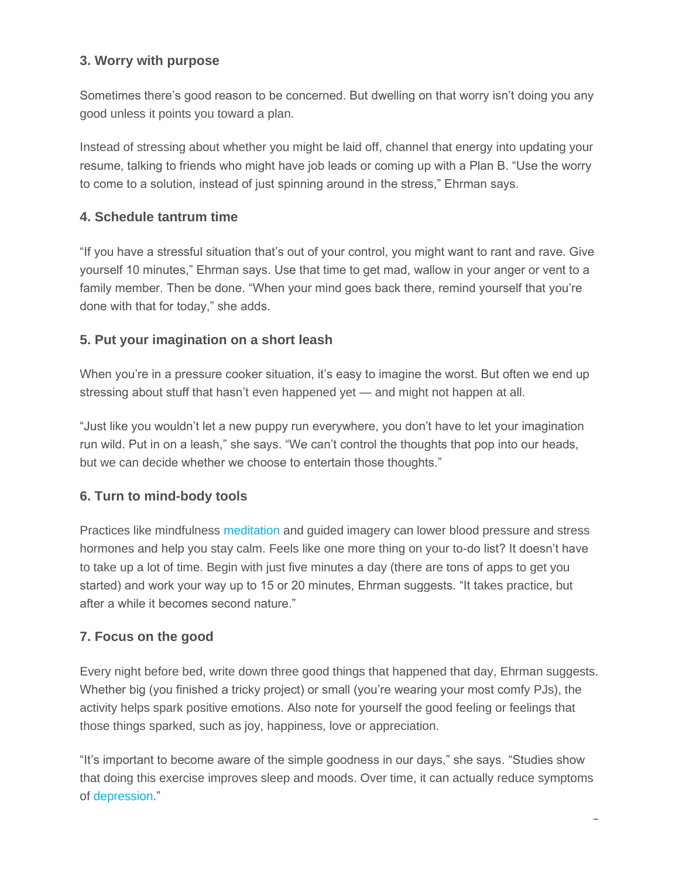# **3. Worry with purpose**

Sometimes there's good reason to be concerned. But dwelling on that worry isn't doing you any good unless it points you toward a plan.

Instead of stressing about whether you might be laid off, channel that energy into updating your resume, talking to friends who might have job leads or coming up with a Plan B. "Use the worry to come to a solution, instead of just spinning around in the stress," Ehrman says.

# **4. Schedule tantrum time**

"If you have a stressful situation that's out of your control, you might want to rant and rave. Give yourself 10 minutes," Ehrman says. Use that time to get mad, wallow in your anger or vent to a family member. Then be done. "When your mind goes back there, remind yourself that you're done with that for today," she adds.

# **5. Put your imagination on a short leash**

When you're in a pressure cooker situation, it's easy to imagine the worst. But often we end up stressing about stuff that hasn't even happened yet — and might not happen at all.

"Just like you wouldn't let a new puppy run everywhere, you don't have to let your imagination run wild. Put in on a leash," she says. "We can't control the thoughts that pop into our heads, but we can decide whether we choose to entertain those thoughts."

# **6. Turn to mind-body tools**

Practices like mindfulness [meditation](https://health.clevelandclinic.org/4-meditation-myths-busted/) and guided imagery can lower blood pressure and stress hormones and help you stay calm. Feels like one more thing on your to-do list? It doesn't have to take up a lot of time. Begin with just five minutes a day (there are tons of apps to get you started) and work your way up to 15 or 20 minutes, Ehrman suggests. "It takes practice, but after a while it becomes second nature."

# **7. Focus on the good**

Every night before bed, write down three good things that happened that day, Ehrman suggests. Whether big (you finished a tricky project) or small (you're wearing your most comfy PJs), the activity helps spark positive emotions. Also note for yourself the good feeling or feelings that those things sparked, such as joy, happiness, love or appreciation.

"It's important to become aware of the simple goodness in our days," she says. "Studies show that doing this exercise improves sleep and moods. Over time, it can actually reduce symptoms of [depression.](https://my.clevelandclinic.org/health/diseases/9290-depression)"